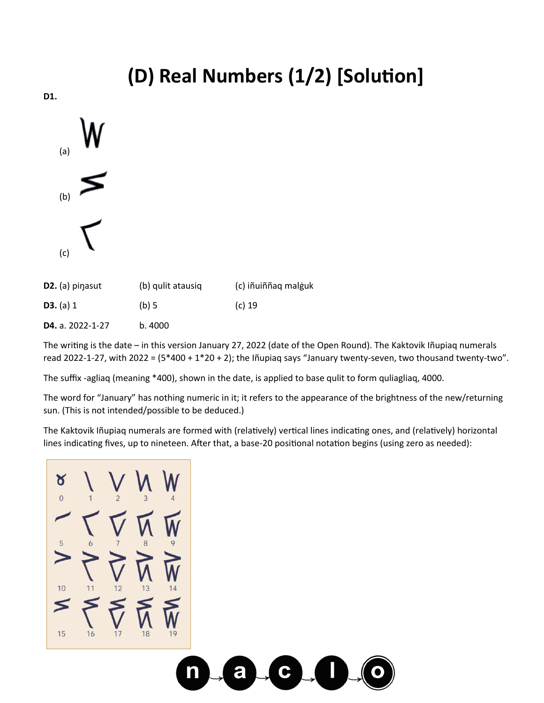## **(D) Real Numbers (1/2) [Solution]**

**D1.** 



| $D2.$ (a) pinasut | (b) qulit atausiq | (c) iñuiññag malguk |
|-------------------|-------------------|---------------------|
| <b>D3.</b> (a) 1  | (b) 5             | $(c)$ 19            |
|                   |                   |                     |

**D4.** a. 2022-1-27 b. 4000

The writing is the date – in this version January 27, 2022 (date of the Open Round). The Kaktovik Iñupiaq numerals read 2022-1-27, with 2022 = (5\*400 + 1\*20 + 2); the Iñupiaq says "January twenty-seven, two thousand twenty-two".

The suffix -agliaq (meaning \*400), shown in the date, is applied to base qulit to form quliagliaq, 4000.

The word for "January" has nothing numeric in it; it refers to the appearance of the brightness of the new/returning sun. (This is not intended/possible to be deduced.)

The Kaktovik Iñupiaq numerals are formed with (relatively) vertical lines indicating ones, and (relatively) horizontal lines indicating fives, up to nineteen. After that, a base-20 positional notation begins (using zero as needed):

Ծ  $\Omega$ 15 16  $18$